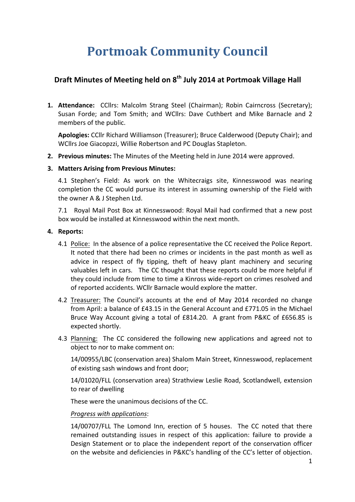# **Portmoak Community Council**

## **Draft Minutes of Meeting held on 8<sup>th</sup> July 2014 at Portmoak Village Hall**

**1. Attendance:** CCllrs: Malcolm Strang Steel (Chairman); Robin Cairncross (Secretary); Susan Forde; and Tom Smith; and WCllrs: Dave Cuthbert and Mike Barnacle and 2 members of the public.

**Apologies:** CCllr Richard Williamson (Treasurer): Bruce Calderwood (Deputy Chair): and WCllrs Joe Giacopzzi, Willie Robertson and PC Douglas Stapleton.

**2. Previous minutes:** The Minutes of the Meeting held in June 2014 were approved.

#### **3. Matters Arising from Previous Minutes:**

4.1 Stephen's Field: As work on the Whitecraigs site, Kinnesswood was nearing completion the CC would pursue its interest in assuming ownership of the Field with the owner A & J Stephen Ltd.

7.1 Royal Mail Post Box at Kinnesswood: Royal Mail had confirmed that a new post box would be installed at Kinnesswood within the next month.

#### **4.** Reports:

- 4.1 Police: In the absence of a police representative the CC received the Police Report. It noted that there had been no crimes or incidents in the past month as well as advice in respect of fly tipping, theft of heavy plant machinery and securing valuables left in cars. The CC thought that these reports could be more helpful if they could include from time to time a Kinross wide-report on crimes resolved and of reported accidents. WCllr Barnacle would explore the matter.
- 4.2 Treasurer: The Council's accounts at the end of May 2014 recorded no change from April: a balance of £43.15 in the General Account and £771.05 in the Michael Bruce Way Account giving a total of £814.20. A grant from P&KC of £656.85 is expected shortly.
- 4.3 Planning: The CC considered the following new applications and agreed not to object to nor to make comment on:

14/00955/LBC (conservation area) Shalom Main Street, Kinnesswood, replacement of existing sash windows and front door;

14/01020/FLL (conservation area) Strathview Leslie Road, Scotlandwell, extension to rear of dwelling

These were the unanimous decisions of the CC.

#### *Progress with applications*:

14/00707/FLL The Lomond Inn, erection of 5 houses. The CC noted that there remained outstanding issues in respect of this application: failure to provide a Design Statement or to place the independent report of the conservation officer on the website and deficiencies in P&KC's handling of the CC's letter of objection.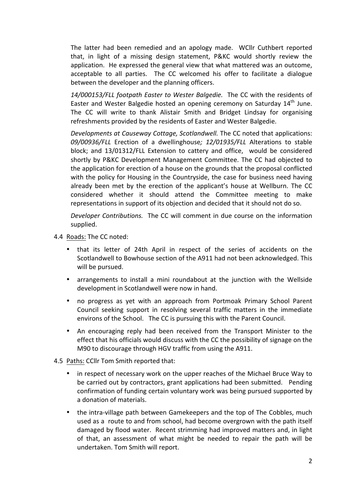The latter had been remedied and an apology made. WCllr Cuthbert reported that, in light of a missing design statement, P&KC would shortly review the application. He expressed the general view that what mattered was an outcome, acceptable to all parties. The CC welcomed his offer to facilitate a dialogue between the developer and the planning officers.

14/000153/FLL footpath Easter to Wester Balgedie. The CC with the residents of Easter and Wester Balgedie hosted an opening ceremony on Saturday 14<sup>th</sup> June. The CC will write to thank Alistair Smith and Bridget Lindsay for organising refreshments provided by the residents of Easter and Wester Balgedie.

*Developments at Causeway Cottage, Scotlandwell.* The CC noted that applications: 09/00936/FLL Erection of a dwellinghouse; 12/01935/FLL Alterations to stable block; and 13/01312/FLL Extension to cattery and office, would be considered shortly by P&KC Development Management Committee. The CC had objected to the application for erection of a house on the grounds that the proposal conflicted with the policy for Housing in the Countryside, the case for business need having already been met by the erection of the applicant's house at Wellburn. The CC considered whether it should attend the Committee meeting to make representations in support of its objection and decided that it should not do so.

*Developer Contributions.* The CC will comment in due course on the information supplied. 

- 4.4 Roads: The CC noted:
	- that its letter of 24th April in respect of the series of accidents on the Scotlandwell to Bowhouse section of the A911 had not been acknowledged. This will be pursued.
	- arrangements to install a mini roundabout at the junction with the Wellside development in Scotlandwell were now in hand.
	- no progress as yet with an approach from Portmoak Primary School Parent Council seeking support in resolving several traffic matters in the immediate environs of the School. The CC is pursuing this with the Parent Council.
	- An encouraging reply had been received from the Transport Minister to the effect that his officials would discuss with the CC the possibility of signage on the M90 to discourage through HGV traffic from using the A911.
- 4.5 Paths: CCllr Tom Smith reported that:
	- in respect of necessary work on the upper reaches of the Michael Bruce Way to be carried out by contractors, grant applications had been submitted. Pending confirmation of funding certain voluntary work was being pursued supported by a donation of materials.
	- the intra-village path between Gamekeepers and the top of The Cobbles, much used as a route to and from school, had become overgrown with the path itself damaged by flood water. Recent strimming had improved matters and, in light of that, an assessment of what might be needed to repair the path will be undertaken. Tom Smith will report.